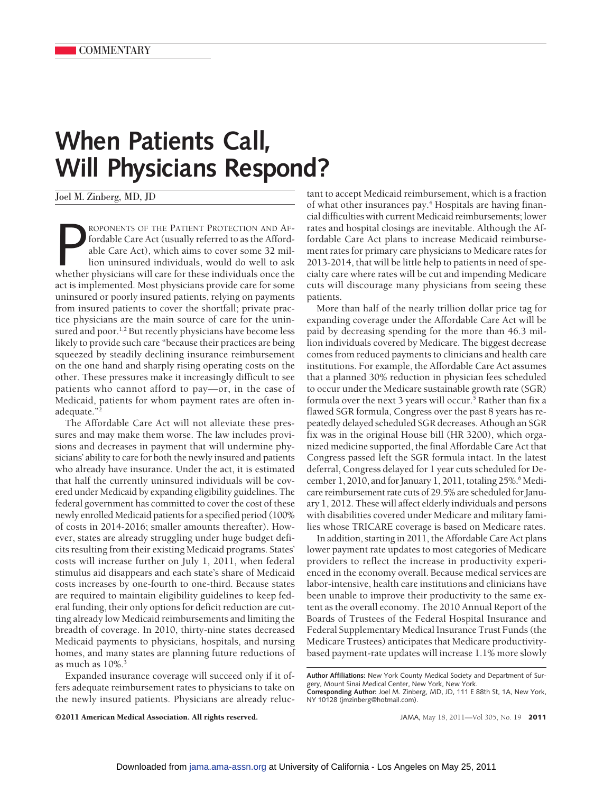## **When Patients Call, Will Physicians Respond?**

Joel M. Zinberg, MD, JD

ROPONENTS OF THE PATIENT PROTECTION AND AF-<br>fordable Care Act (usually referred to as the Affordable Care Act), which aims to cover some 32 mil-<br>lion uninsured individuals, would do well to ask<br>whether physicians will care ROPONENTS OF THE PATIENT PROTECTION AND AFfordable Care Act (usually referred to as the Affordable Care Act), which aims to cover some 32 million uninsured individuals, would do well to ask act is implemented. Most physicians provide care for some uninsured or poorly insured patients, relying on payments from insured patients to cover the shortfall; private practice physicians are the main source of care for the uninsured and poor.<sup>1,2</sup> But recently physicians have become less likely to provide such care "because their practices are being squeezed by steadily declining insurance reimbursement on the one hand and sharply rising operating costs on the other. These pressures make it increasingly difficult to see patients who cannot afford to pay—or, in the case of Medicaid, patients for whom payment rates are often inadequate."2

The Affordable Care Act will not alleviate these pressures and may make them worse. The law includes provisions and decreases in payment that will undermine physicians' ability to care for both the newly insured and patients who already have insurance. Under the act, it is estimated that half the currently uninsured individuals will be covered under Medicaid by expanding eligibility guidelines. The federal government has committed to cover the cost of these newly enrolled Medicaid patients for a specified period (100% of costs in 2014-2016; smaller amounts thereafter). However, states are already struggling under huge budget deficits resulting from their existing Medicaid programs. States' costs will increase further on July 1, 2011, when federal stimulus aid disappears and each state's share of Medicaid costs increases by one-fourth to one-third. Because states are required to maintain eligibility guidelines to keep federal funding, their only options for deficit reduction are cutting already low Medicaid reimbursements and limiting the breadth of coverage. In 2010, thirty-nine states decreased Medicaid payments to physicians, hospitals, and nursing homes, and many states are planning future reductions of as much as 10%.<sup>3</sup>

Expanded insurance coverage will succeed only if it offers adequate reimbursement rates to physicians to take on the newly insured patients. Physicians are already reluctant to accept Medicaid reimbursement, which is a fraction of what other insurances pay.<sup>4</sup> Hospitals are having financial difficulties with current Medicaid reimbursements; lower rates and hospital closings are inevitable. Although the Affordable Care Act plans to increase Medicaid reimbursement rates for primary care physicians to Medicare rates for 2013-2014, that will be little help to patients in need of specialty care where rates will be cut and impending Medicare cuts will discourage many physicians from seeing these patients.

More than half of the nearly trillion dollar price tag for expanding coverage under the Affordable Care Act will be paid by decreasing spending for the more than 46.3 million individuals covered by Medicare. The biggest decrease comes from reduced payments to clinicians and health care institutions. For example, the Affordable Care Act assumes that a planned 30% reduction in physician fees scheduled to occur under the Medicare sustainable growth rate (SGR) formula over the next 3 years will occur.<sup>5</sup> Rather than fix a flawed SGR formula, Congress over the past 8 years has repeatedly delayed scheduled SGR decreases. Athough an SGR fix was in the original House bill (HR 3200), which organized medicine supported, the final Affordable Care Act that Congress passed left the SGR formula intact. In the latest deferral, Congress delayed for 1 year cuts scheduled for December 1, 2010, and for January 1, 2011, totaling 25%.<sup>6</sup> Medicare reimbursement rate cuts of 29.5% are scheduled for January 1, 2012. These will affect elderly individuals and persons with disabilities covered under Medicare and military families whose TRICARE coverage is based on Medicare rates.

In addition, starting in 2011, the Affordable Care Act plans lower payment rate updates to most categories of Medicare providers to reflect the increase in productivity experienced in the economy overall. Because medical services are labor-intensive, health care institutions and clinicians have been unable to improve their productivity to the same extent as the overall economy. The 2010 Annual Report of the Boards of Trustees of the Federal Hospital Insurance and Federal Supplementary Medical Insurance Trust Funds (the Medicare Trustees) anticipates that Medicare productivitybased payment-rate updates will increase 1.1% more slowly

©2011 American Medical Association. All rights reserved. JAMA, May 18, 2011—Vol 305, No. 19 **2011**

**Author Affiliations:** New York County Medical Society and Department of Surgery, Mount Sinai Medical Center, New York, New York. **Corresponding Author:** Joel M. Zinberg, MD, JD, 111 E 88th St, 1A, New York,

NY 10128 (jmzinberg@hotmail.com).